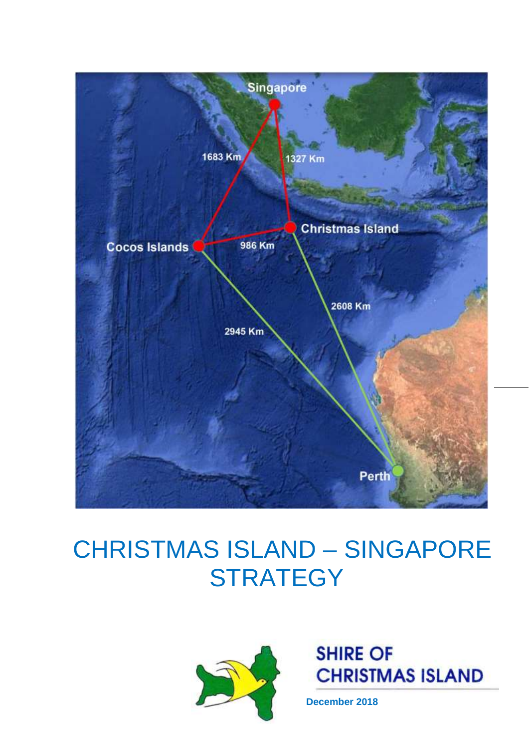

# CHRISTMAS ISLAND – SINGAPORE **STRATEGY**



**SHIRE OF CHRISTMAS ISLAND** 

**December 2018**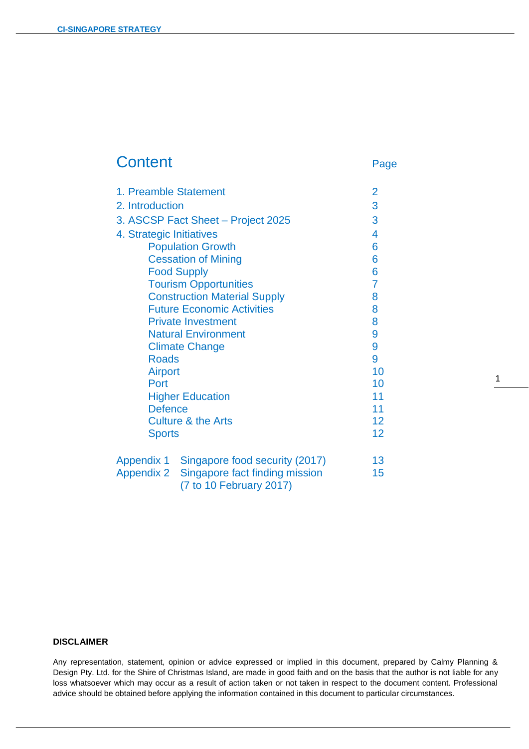# Content Page

| 1. Preamble Statement               |                                | $\overline{2}$  |
|-------------------------------------|--------------------------------|-----------------|
| 2. Introduction                     |                                | 3               |
| 3. ASCSP Fact Sheet - Project 2025  |                                | 3               |
| 4. Strategic Initiatives            |                                | 4               |
| <b>Population Growth</b>            |                                | 6               |
| <b>Cessation of Mining</b>          |                                | 6               |
| <b>Food Supply</b>                  |                                | 6               |
| <b>Tourism Opportunities</b>        |                                | $\overline{7}$  |
| <b>Construction Material Supply</b> |                                | 8               |
| <b>Future Economic Activities</b>   |                                | 8               |
| <b>Private Investment</b>           |                                | 8               |
| <b>Natural Environment</b>          |                                | 9               |
| <b>Climate Change</b>               |                                | 9               |
| <b>Roads</b>                        |                                | 9               |
| <b>Airport</b>                      |                                | 10              |
| Port                                |                                | 10              |
| <b>Higher Education</b>             |                                | 11              |
| <b>Defence</b>                      |                                | 11              |
| <b>Culture &amp; the Arts</b>       |                                | 12 <sub>2</sub> |
| <b>Sports</b>                       |                                | 12 <sub>2</sub> |
| Appendix 1                          | Singapore food security (2017) | 13              |
| <b>Appendix 2</b>                   | Singapore fact finding mission | 15              |
|                                     |                                |                 |

 $\overline{a}$ 

(7 to 10 February 2017)

#### **DISCLAIMER**

Any representation, statement, opinion or advice expressed or implied in this document, prepared by Calmy Planning & Design Pty. Ltd. for the Shire of Christmas Island, are made in good faith and on the basis that the author is not liable for any loss whatsoever which may occur as a result of action taken or not taken in respect to the document content. Professional advice should be obtained before applying the information contained in this document to particular circumstances.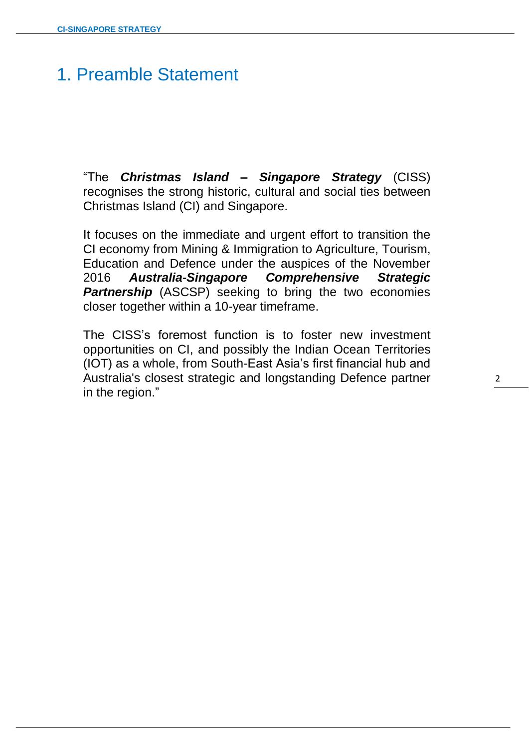# 1. Preamble Statement

"The *Christmas Island – Singapore Strategy* (CISS) recognises the strong historic, cultural and social ties between Christmas Island (CI) and Singapore.

 $\overline{a}$ 

It focuses on the immediate and urgent effort to transition the CI economy from Mining & Immigration to Agriculture, Tourism, Education and Defence under the auspices of the November 2016 *Australia-Singapore Comprehensive Strategic Partnership* (ASCSP) seeking to bring the two economies closer together within a 10-year timeframe.

The CISS's foremost function is to foster new investment opportunities on CI, and possibly the Indian Ocean Territories (IOT) as a whole, from South-East Asia's first financial hub and Australia's closest strategic and longstanding Defence partner in the region."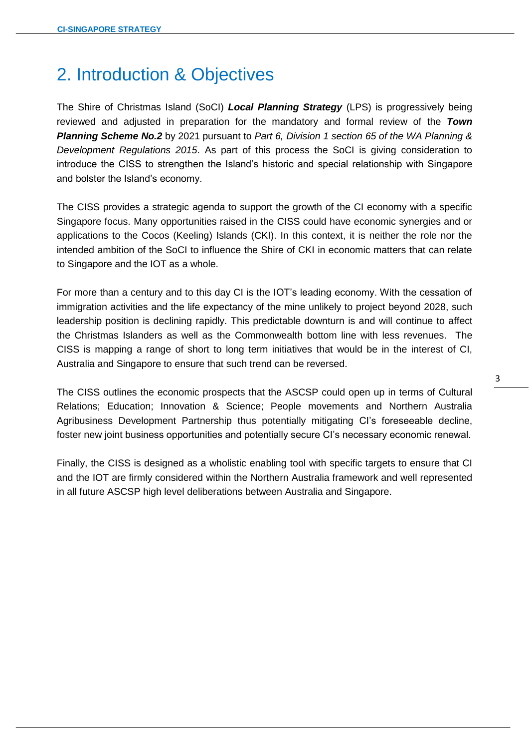# 2. Introduction & Objectives

The Shire of Christmas Island (SoCI) *Local Planning Strategy* (LPS) is progressively being reviewed and adjusted in preparation for the mandatory and formal review of the *Town Planning Scheme No.2* by 2021 pursuant to *Part 6, Division 1 section 65 of the WA Planning & Development Regulations 2015*. As part of this process the SoCI is giving consideration to introduce the CISS to strengthen the Island's historic and special relationship with Singapore and bolster the Island's economy.

 $\overline{a}$ 

The CISS provides a strategic agenda to support the growth of the CI economy with a specific Singapore focus. Many opportunities raised in the CISS could have economic synergies and or applications to the Cocos (Keeling) Islands (CKI). In this context, it is neither the role nor the intended ambition of the SoCI to influence the Shire of CKI in economic matters that can relate to Singapore and the IOT as a whole.

For more than a century and to this day CI is the IOT's leading economy. With the cessation of immigration activities and the life expectancy of the mine unlikely to project beyond 2028, such leadership position is declining rapidly. This predictable downturn is and will continue to affect the Christmas Islanders as well as the Commonwealth bottom line with less revenues. The CISS is mapping a range of short to long term initiatives that would be in the interest of CI, Australia and Singapore to ensure that such trend can be reversed.

The CISS outlines the economic prospects that the ASCSP could open up in terms of Cultural Relations; Education; Innovation & Science; People movements and Northern Australia Agribusiness Development Partnership thus potentially mitigating CI's foreseeable decline, foster new joint business opportunities and potentially secure CI's necessary economic renewal.

Finally, the CISS is designed as a wholistic enabling tool with specific targets to ensure that CI and the IOT are firmly considered within the Northern Australia framework and well represented in all future ASCSP high level deliberations between Australia and Singapore.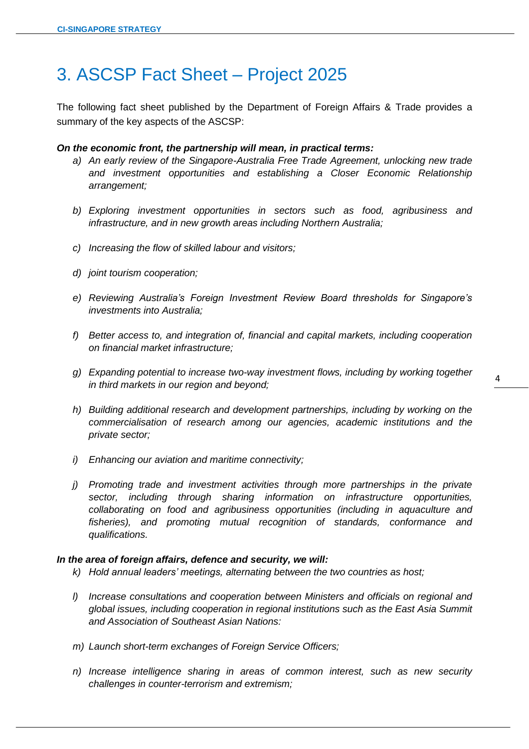# 3. ASCSP Fact Sheet – Project 2025

The following fact sheet published by the Department of Foreign Affairs & Trade provides a summary of the key aspects of the ASCSP:

 $\overline{a}$ 

#### *On the economic front, the partnership will mean, in practical terms:*

- *a) An early review of the Singapore-Australia Free Trade Agreement, unlocking new trade and investment opportunities and establishing a Closer Economic Relationship arrangement;*
- *b) Exploring investment opportunities in sectors such as food, agribusiness and infrastructure, and in new growth areas including Northern Australia;*
- *c) Increasing the flow of skilled labour and visitors;*
- *d) joint tourism cooperation;*
- *e) Reviewing Australia's Foreign Investment Review Board thresholds for Singapore's investments into Australia;*
- *f) Better access to, and integration of, financial and capital markets, including cooperation on financial market infrastructure;*
- *g) Expanding potential to increase two-way investment flows, including by working together in third markets in our region and beyond;*
- *h) Building additional research and development partnerships, including by working on the commercialisation of research among our agencies, academic institutions and the private sector;*
- *i) Enhancing our aviation and maritime connectivity;*
- *j) Promoting trade and investment activities through more partnerships in the private sector, including through sharing information on infrastructure opportunities, collaborating on food and agribusiness opportunities (including in aquaculture and fisheries), and promoting mutual recognition of standards, conformance and qualifications.*

### *In the area of foreign affairs, defence and security, we will:*

- *k) Hold annual leaders' meetings, alternating between the two countries as host;*
- *l) Increase consultations and cooperation between Ministers and officials on regional and global issues, including cooperation in regional institutions such as the East Asia Summit and Association of Southeast Asian Nations:*
- *m) Launch short-term exchanges of Foreign Service Officers;*
- *n) Increase intelligence sharing in areas of common interest, such as new security challenges in counter-terrorism and extremism;*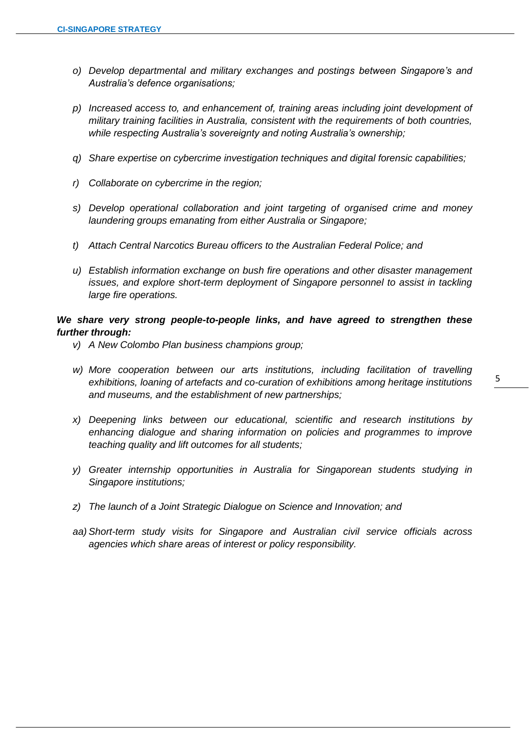*o) Develop departmental and military exchanges and postings between Singapore's and Australia's defence organisations;*

 $\overline{a}$ 

- *p) Increased access to, and enhancement of, training areas including joint development of military training facilities in Australia, consistent with the requirements of both countries, while respecting Australia's sovereignty and noting Australia's ownership;*
- *q) Share expertise on cybercrime investigation techniques and digital forensic capabilities;*
- *r) Collaborate on cybercrime in the region;*
- *s) Develop operational collaboration and joint targeting of organised crime and money laundering groups emanating from either Australia or Singapore;*
- *t) Attach Central Narcotics Bureau officers to the Australian Federal Police; and*
- *u) Establish information exchange on bush fire operations and other disaster management issues, and explore short-term deployment of Singapore personnel to assist in tackling large fire operations.*

# *We share very strong people-to-people links, and have agreed to strengthen these further through:*

- *v) A New Colombo Plan business champions group;*
- *w) More cooperation between our arts institutions, including facilitation of travelling exhibitions, loaning of artefacts and co-curation of exhibitions among heritage institutions and museums, and the establishment of new partnerships;*
- *x) Deepening links between our educational, scientific and research institutions by enhancing dialogue and sharing information on policies and programmes to improve teaching quality and lift outcomes for all students;*
- *y) Greater internship opportunities in Australia for Singaporean students studying in Singapore institutions;*
- *z) The launch of a Joint Strategic Dialogue on Science and Innovation; and*
- *aa) Short-term study visits for Singapore and Australian civil service officials across agencies which share areas of interest or policy responsibility.*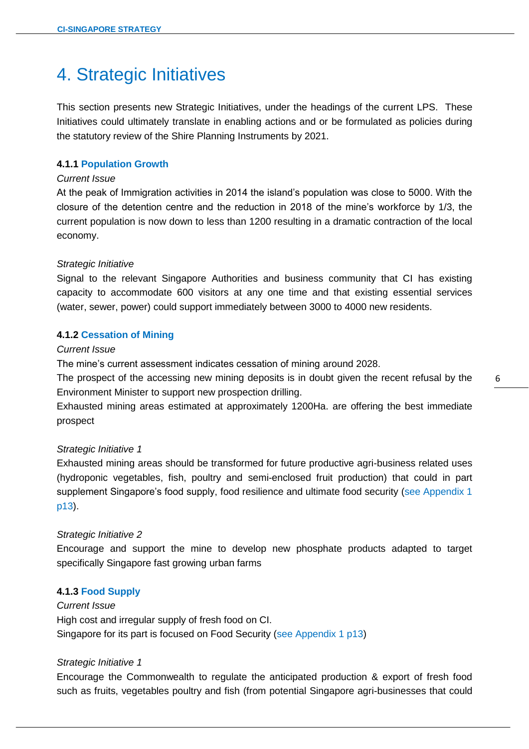# 4. Strategic Initiatives

This section presents new Strategic Initiatives, under the headings of the current LPS. These Initiatives could ultimately translate in enabling actions and or be formulated as policies during the statutory review of the Shire Planning Instruments by 2021.

 $\overline{a}$ 

# **4.1.1 Population Growth**

#### *Current Issue*

At the peak of Immigration activities in 2014 the island's population was close to 5000. With the closure of the detention centre and the reduction in 2018 of the mine's workforce by 1/3, the current population is now down to less than 1200 resulting in a dramatic contraction of the local economy.

# *Strategic Initiative*

Signal to the relevant Singapore Authorities and business community that CI has existing capacity to accommodate 600 visitors at any one time and that existing essential services (water, sewer, power) could support immediately between 3000 to 4000 new residents.

# **4.1.2 Cessation of Mining**

# *Current Issue*

The mine's current assessment indicates cessation of mining around 2028.

The prospect of the accessing new mining deposits is in doubt given the recent refusal by the Environment Minister to support new prospection drilling.

Exhausted mining areas estimated at approximately 1200Ha. are offering the best immediate prospect

#### *Strategic Initiative 1*

Exhausted mining areas should be transformed for future productive agri-business related uses (hydroponic vegetables, fish, poultry and semi-enclosed fruit production) that could in part supplement Singapore's food supply, food resilience and ultimate food security (see Appendix 1 p13).

#### *Strategic Initiative 2*

Encourage and support the mine to develop new phosphate products adapted to target specifically Singapore fast growing urban farms

#### **4.1.3 Food Supply**

*Current Issue* High cost and irregular supply of fresh food on CI. Singapore for its part is focused on Food Security (see Appendix 1 p13)

#### *Strategic Initiative 1*

Encourage the Commonwealth to regulate the anticipated production & export of fresh food such as fruits, vegetables poultry and fish (from potential Singapore agri-businesses that could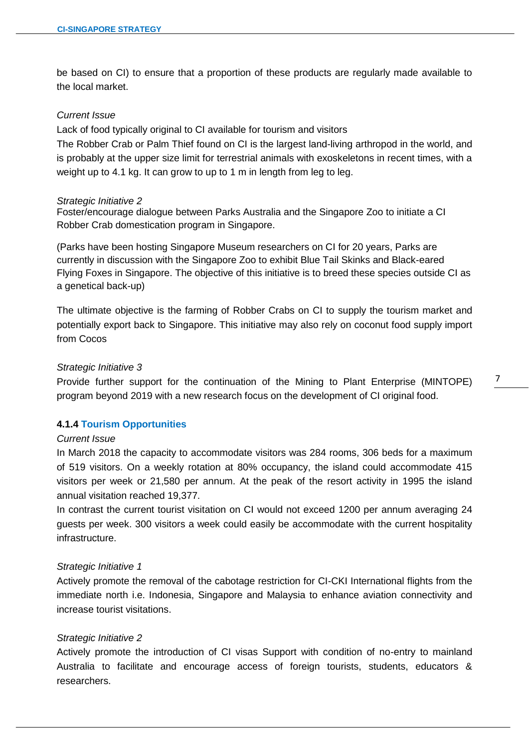be based on CI) to ensure that a proportion of these products are regularly made available to the local market.

 $\overline{a}$ 

#### *Current Issue*

Lack of food typically original to CI available for tourism and visitors

The Robber Crab or Palm Thief found on CI is the largest land-living arthropod in the world, and is probably at the upper size limit for terrestrial animals with exoskeletons in recent times, with a weight up to 4.1 kg. It can grow to up to 1 m in length from leg to leg.

#### *Strategic Initiative 2*

Foster/encourage dialogue between Parks Australia and the Singapore Zoo to initiate a CI Robber Crab domestication program in Singapore.

(Parks have been hosting Singapore Museum researchers on CI for 20 years, Parks are currently in discussion with the Singapore Zoo to exhibit Blue Tail Skinks and Black-eared Flying Foxes in Singapore. The objective of this initiative is to breed these species outside CI as a genetical back-up)

The ultimate objective is the farming of Robber Crabs on CI to supply the tourism market and potentially export back to Singapore. This initiative may also rely on coconut food supply import from Cocos

# *Strategic Initiative 3*

Provide further support for the continuation of the Mining to Plant Enterprise (MINTOPE) program beyond 2019 with a new research focus on the development of CI original food.

# **4.1.4 Tourism Opportunities**

#### *Current Issue*

In March 2018 the capacity to accommodate visitors was 284 rooms, 306 beds for a maximum of 519 visitors. On a weekly rotation at 80% occupancy, the island could accommodate 415 visitors per week or 21,580 per annum. At the peak of the resort activity in 1995 the island annual visitation reached 19,377.

In contrast the current tourist visitation on CI would not exceed 1200 per annum averaging 24 guests per week. 300 visitors a week could easily be accommodate with the current hospitality infrastructure.

#### *Strategic Initiative 1*

Actively promote the removal of the cabotage restriction for CI-CKI International flights from the immediate north i.e. Indonesia, Singapore and Malaysia to enhance aviation connectivity and increase tourist visitations.

# *Strategic Initiative 2*

Actively promote the introduction of CI visas Support with condition of no-entry to mainland Australia to facilitate and encourage access of foreign tourists, students, educators & researchers.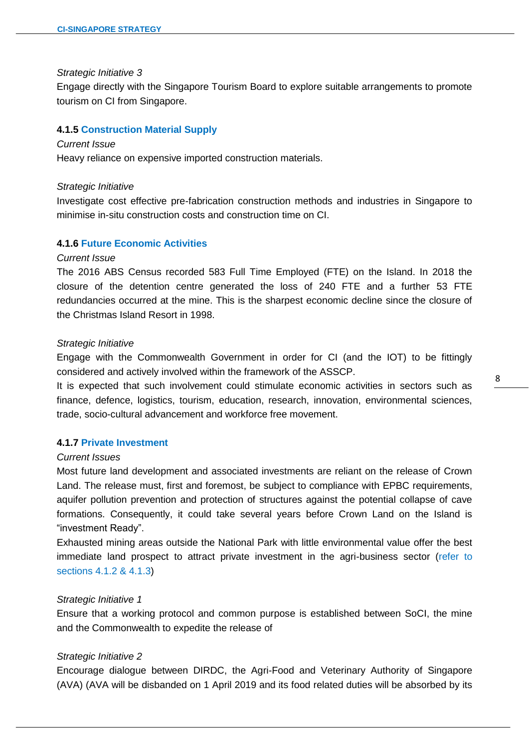#### *Strategic Initiative 3*

Engage directly with the Singapore Tourism Board to explore suitable arrangements to promote tourism on CI from Singapore.

 $\overline{a}$ 

# **4.1.5 Construction Material Supply**

#### *Current Issue*

Heavy reliance on expensive imported construction materials.

#### *Strategic Initiative*

Investigate cost effective pre-fabrication construction methods and industries in Singapore to minimise in-situ construction costs and construction time on CI.

#### **4.1.6 Future Economic Activities**

#### *Current Issue*

The 2016 ABS Census recorded 583 Full Time Employed (FTE) on the Island. In 2018 the closure of the detention centre generated the loss of 240 FTE and a further 53 FTE redundancies occurred at the mine. This is the sharpest economic decline since the closure of the Christmas Island Resort in 1998.

#### *Strategic Initiative*

Engage with the Commonwealth Government in order for CI (and the IOT) to be fittingly considered and actively involved within the framework of the ASSCP.

It is expected that such involvement could stimulate economic activities in sectors such as finance, defence, logistics, tourism, education, research, innovation, environmental sciences, trade, socio-cultural advancement and workforce free movement.

# **4.1.7 Private Investment**

#### *Current Issues*

Most future land development and associated investments are reliant on the release of Crown Land. The release must, first and foremost, be subject to compliance with EPBC requirements, aquifer pollution prevention and protection of structures against the potential collapse of cave formations. Consequently, it could take several years before Crown Land on the Island is "investment Ready".

Exhausted mining areas outside the National Park with little environmental value offer the best immediate land prospect to attract private investment in the agri-business sector (refer to sections 4.1.2 & 4.1.3)

#### *Strategic Initiative 1*

Ensure that a working protocol and common purpose is established between SoCI, the mine and the Commonwealth to expedite the release of

#### *Strategic Initiative 2*

Encourage dialogue between DIRDC, the Agri-Food and Veterinary Authority of Singapore (AVA) (AVA will be disbanded on 1 April 2019 and its food related duties will be absorbed by its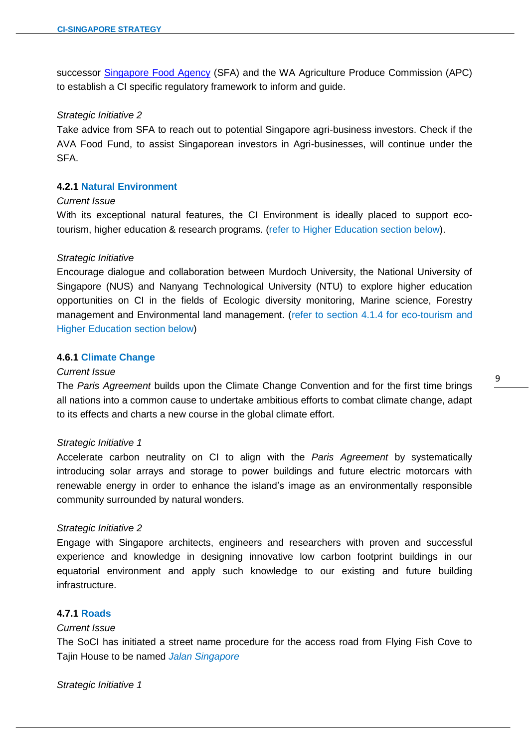successor [Singapore Food Agency](https://en.wikipedia.org/wiki/Singapore_Food_Agency) (SFA) and the WA Agriculture Produce Commission (APC) to establish a CI specific regulatory framework to inform and guide.

 $\overline{a}$ 

### *Strategic Initiative 2*

Take advice from SFA to reach out to potential Singapore agri-business investors. Check if the AVA Food Fund, to assist Singaporean investors in Agri-businesses, will continue under the SFA.

# **4.2.1 Natural Environment**

### *Current Issue*

With its exceptional natural features, the CI Environment is ideally placed to support ecotourism, higher education & research programs. (refer to Higher Education section below).

#### *Strategic Initiative*

Encourage dialogue and collaboration between Murdoch University, the National University of Singapore (NUS) and Nanyang Technological University (NTU) to explore higher education opportunities on CI in the fields of Ecologic diversity monitoring, Marine science, Forestry management and Environmental land management. (refer to section 4.1.4 for eco-tourism and Higher Education section below)

# **4.6.1 Climate Change**

#### *Current Issue*

The *Paris Agreement* builds upon the Climate Change Convention and for the first time brings all nations into a common cause to undertake ambitious efforts to combat climate change, adapt to its effects and charts a new course in the global climate effort.

### *Strategic Initiative 1*

Accelerate carbon neutrality on CI to align with the *Paris Agreement* by systematically introducing solar arrays and storage to power buildings and future electric motorcars with renewable energy in order to enhance the island's image as an environmentally responsible community surrounded by natural wonders.

#### *Strategic Initiative 2*

Engage with Singapore architects, engineers and researchers with proven and successful experience and knowledge in designing innovative low carbon footprint buildings in our equatorial environment and apply such knowledge to our existing and future building infrastructure.

# **4.7.1 Roads**

# *Current Issue*

The SoCI has initiated a street name procedure for the access road from Flying Fish Cove to Tajin House to be named *Jalan Singapore*

*Strategic Initiative 1*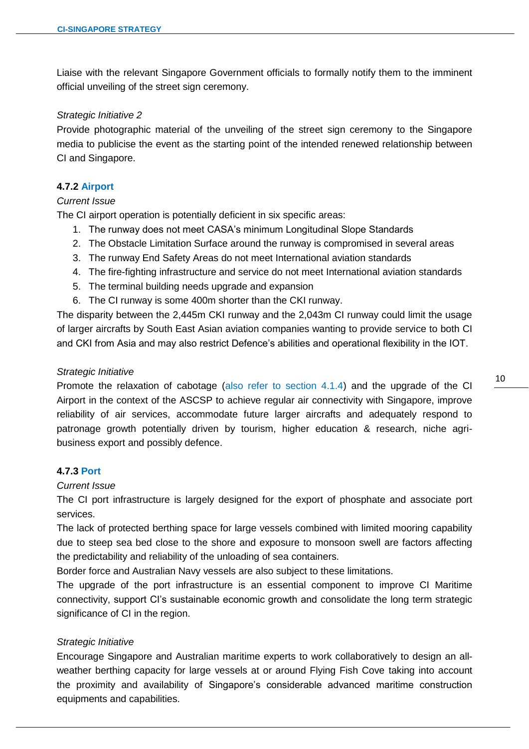Liaise with the relevant Singapore Government officials to formally notify them to the imminent official unveiling of the street sign ceremony.

 $\overline{a}$ 

# *Strategic Initiative 2*

Provide photographic material of the unveiling of the street sign ceremony to the Singapore media to publicise the event as the starting point of the intended renewed relationship between CI and Singapore.

### **4.7.2 Airport**

# *Current Issue*

The CI airport operation is potentially deficient in six specific areas:

- 1. The runway does not meet CASA's minimum Longitudinal Slope Standards
- 2. The Obstacle Limitation Surface around the runway is compromised in several areas
- 3. The runway End Safety Areas do not meet International aviation standards
- 4. The fire-fighting infrastructure and service do not meet International aviation standards
- 5. The terminal building needs upgrade and expansion
- 6. The CI runway is some 400m shorter than the CKI runway.

The disparity between the 2,445m CKI runway and the 2,043m CI runway could limit the usage of larger aircrafts by South East Asian aviation companies wanting to provide service to both CI and CKI from Asia and may also restrict Defence's abilities and operational flexibility in the IOT.

#### *Strategic Initiative*

Promote the relaxation of cabotage (also refer to section 4.1.4) and the upgrade of the CI Airport in the context of the ASCSP to achieve regular air connectivity with Singapore, improve reliability of air services, accommodate future larger aircrafts and adequately respond to patronage growth potentially driven by tourism, higher education & research, niche agribusiness export and possibly defence.

# **4.7.3 Port**

# *Current Issue*

The CI port infrastructure is largely designed for the export of phosphate and associate port services.

The lack of protected berthing space for large vessels combined with limited mooring capability due to steep sea bed close to the shore and exposure to monsoon swell are factors affecting the predictability and reliability of the unloading of sea containers.

Border force and Australian Navy vessels are also subject to these limitations.

The upgrade of the port infrastructure is an essential component to improve CI Maritime connectivity, support CI's sustainable economic growth and consolidate the long term strategic significance of CI in the region.

#### *Strategic Initiative*

Encourage Singapore and Australian maritime experts to work collaboratively to design an allweather berthing capacity for large vessels at or around Flying Fish Cove taking into account the proximity and availability of Singapore's considerable advanced maritime construction equipments and capabilities.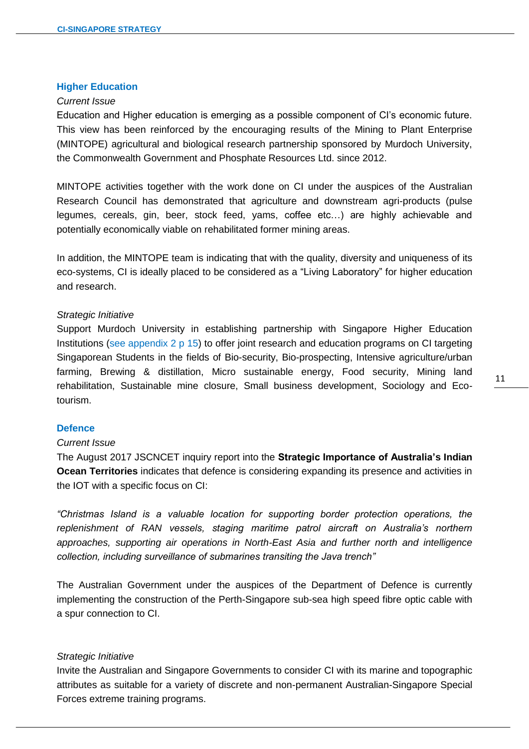#### **Higher Education**

#### *Current Issue*

Education and Higher education is emerging as a possible component of CI's economic future. This view has been reinforced by the encouraging results of the Mining to Plant Enterprise (MINTOPE) agricultural and biological research partnership sponsored by Murdoch University, the Commonwealth Government and Phosphate Resources Ltd. since 2012.

 $\overline{a}$ 

MINTOPE activities together with the work done on CI under the auspices of the Australian Research Council has demonstrated that agriculture and downstream agri-products (pulse legumes, cereals, gin, beer, stock feed, yams, coffee etc…) are highly achievable and potentially economically viable on rehabilitated former mining areas.

In addition, the MINTOPE team is indicating that with the quality, diversity and uniqueness of its eco-systems, CI is ideally placed to be considered as a "Living Laboratory" for higher education and research.

#### *Strategic Initiative*

Support Murdoch University in establishing partnership with Singapore Higher Education Institutions (see appendix 2 p 15) to offer joint research and education programs on CI targeting Singaporean Students in the fields of Bio-security, Bio-prospecting, Intensive agriculture/urban farming, Brewing & distillation, Micro sustainable energy, Food security, Mining land rehabilitation, Sustainable mine closure, Small business development, Sociology and Ecotourism.

# **Defence**

### *Current Issue*

The August 2017 JSCNCET inquiry report into the **Strategic Importance of Australia's Indian Ocean Territories** indicates that defence is considering expanding its presence and activities in the IOT with a specific focus on CI:

*"Christmas Island is a valuable location for supporting border protection operations, the replenishment of RAN vessels, staging maritime patrol aircraft on Australia's northern approaches, supporting air operations in North-East Asia and further north and intelligence collection, including surveillance of submarines transiting the Java trench"*

The Australian Government under the auspices of the Department of Defence is currently implementing the construction of the Perth-Singapore sub-sea high speed fibre optic cable with a spur connection to CI.

#### *Strategic Initiative*

Invite the Australian and Singapore Governments to consider CI with its marine and topographic attributes as suitable for a variety of discrete and non-permanent Australian-Singapore Special Forces extreme training programs.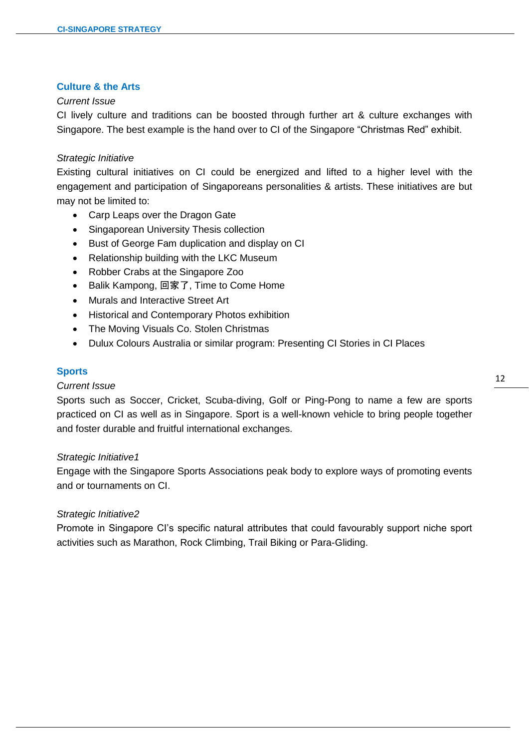# **Culture & the Arts**

# *Current Issue*

CI lively culture and traditions can be boosted through further art & culture exchanges with Singapore. The best example is the hand over to CI of the Singapore "Christmas Red" exhibit.

 $\overline{a}$ 

# *Strategic Initiative*

Existing cultural initiatives on CI could be energized and lifted to a higher level with the engagement and participation of Singaporeans personalities & artists. These initiatives are but may not be limited to:

- Carp Leaps over the Dragon Gate
- Singaporean University Thesis collection
- Bust of George Fam duplication and display on CI
- Relationship building with the LKC Museum
- Robber Crabs at the Singapore Zoo
- Balik Kampong, 回家了, Time to Come Home
- Murals and Interactive Street Art
- Historical and Contemporary Photos exhibition
- The Moving Visuals Co. Stolen Christmas
- Dulux Colours Australia or similar program: Presenting CI Stories in CI Places

# **Sports**

# *Current Issue*

Sports such as Soccer, Cricket, Scuba-diving, Golf or Ping-Pong to name a few are sports practiced on CI as well as in Singapore. Sport is a well-known vehicle to bring people together and foster durable and fruitful international exchanges.

# *Strategic Initiative1*

Engage with the Singapore Sports Associations peak body to explore ways of promoting events and or tournaments on CI.

# *Strategic Initiative2*

Promote in Singapore CI's specific natural attributes that could favourably support niche sport activities such as Marathon, Rock Climbing, Trail Biking or Para-Gliding.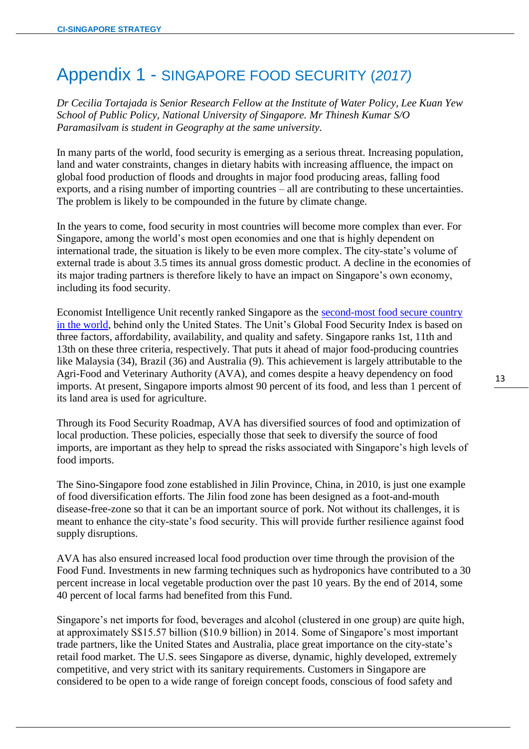# Appendix 1 - SINGAPORE FOOD SECURITY (*2017)*

*Dr Cecilia Tortajada is Senior Research Fellow at the Institute of Water Policy, Lee Kuan Yew School of Public Policy, National University of Singapore. Mr Thinesh Kumar S/O Paramasilvam is student in Geography at the same university.*

 $\overline{a}$ 

In many parts of the world, food security is emerging as a serious threat. Increasing population, land and water constraints, changes in dietary habits with increasing affluence, the impact on global food production of floods and droughts in major food producing areas, falling food exports, and a rising number of importing countries – all are contributing to these uncertainties. The problem is likely to be compounded in the future by climate change.

In the years to come, food security in most countries will become more complex than ever. For Singapore, among the world's most open economies and one that is highly dependent on international trade, the situation is likely to be even more complex. The city-state's volume of external trade is about 3.5 times its annual gross domestic product. A decline in the economies of its major trading partners is therefore likely to have an impact on Singapore's own economy, including its food security.

Economist Intelligence Unit recently ranked Singapore as the [second-most food secure country](http://foodsecurityindex.eiu.com/Country/Details#Singapore)  [in the world,](http://foodsecurityindex.eiu.com/Country/Details#Singapore) behind only the United States. The Unit's Global Food Security Index is based on three factors, affordability, availability, and quality and safety. Singapore ranks 1st, 11th and 13th on these three criteria, respectively. That puts it ahead of major food-producing countries like Malaysia (34), Brazil (36) and Australia (9). This achievement is largely attributable to the Agri-Food and Veterinary Authority (AVA), and comes despite a heavy dependency on food imports. At present, Singapore imports almost 90 percent of its food, and less than 1 percent of its land area is used for agriculture.

Through its Food Security Roadmap, AVA has diversified sources of food and optimization of local production. These policies, especially those that seek to diversify the source of food imports, are important as they help to spread the risks associated with Singapore's high levels of food imports.

The Sino-Singapore food zone established in Jilin Province, China, in 2010, is just one example of food diversification efforts. The Jilin food zone has been designed as a foot-and-mouth disease-free-zone so that it can be an important source of pork. Not without its challenges, it is meant to enhance the city-state's food security. This will provide further resilience against food supply disruptions.

AVA has also ensured increased local food production over time through the provision of the Food Fund. Investments in new farming techniques such as hydroponics have contributed to a 30 percent increase in local vegetable production over the past 10 years. By the end of 2014, some 40 percent of local farms had benefited from this Fund.

Singapore's net imports for food, beverages and alcohol (clustered in one group) are quite high, at approximately S\$15.57 billion (\$10.9 billion) in 2014. Some of Singapore's most important trade partners, like the United States and Australia, place great importance on the city-state's retail food market. The U.S. sees Singapore as diverse, dynamic, highly developed, extremely competitive, and very strict with its sanitary requirements. Customers in Singapore are considered to be open to a wide range of foreign concept foods, conscious of food safety and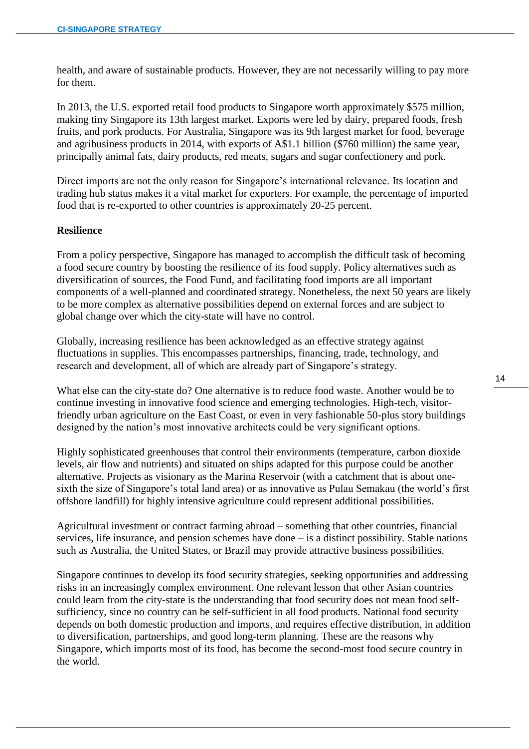health, and aware of sustainable products. However, they are not necessarily willing to pay more for them.

 $\overline{a}$ 

In 2013, the U.S. exported retail food products to Singapore worth approximately \$575 million, making tiny Singapore its 13th largest market. Exports were led by dairy, prepared foods, fresh fruits, and pork products. For Australia, Singapore was its 9th largest market for food, beverage and agribusiness products in 2014, with exports of A\$1.1 billion (\$760 million) the same year, principally animal fats, dairy products, red meats, sugars and sugar confectionery and pork.

Direct imports are not the only reason for Singapore's international relevance. Its location and trading hub status makes it a vital market for exporters. For example, the percentage of imported food that is re-exported to other countries is approximately 20-25 percent.

#### **Resilience**

From a policy perspective, Singapore has managed to accomplish the difficult task of becoming a food secure country by boosting the resilience of its food supply. Policy alternatives such as diversification of sources, the Food Fund, and facilitating food imports are all important components of a well-planned and coordinated strategy. Nonetheless, the next 50 years are likely to be more complex as alternative possibilities depend on external forces and are subject to global change over which the city-state will have no control.

Globally, increasing resilience has been acknowledged as an effective strategy against fluctuations in supplies. This encompasses partnerships, financing, trade, technology, and research and development, all of which are already part of Singapore's strategy.

What else can the city-state do? One alternative is to reduce food waste. Another would be to continue investing in innovative food science and emerging technologies. High-tech, visitorfriendly urban agriculture on the East Coast, or even in very fashionable 50-plus story buildings designed by the nation's most innovative architects could be very significant options.

Highly sophisticated greenhouses that control their environments (temperature, carbon dioxide levels, air flow and nutrients) and situated on ships adapted for this purpose could be another alternative. Projects as visionary as the Marina Reservoir (with a catchment that is about onesixth the size of Singapore's total land area) or as innovative as Pulau Semakau (the world's first offshore landfill) for highly intensive agriculture could represent additional possibilities.

Agricultural investment or contract farming abroad – something that other countries, financial services, life insurance, and pension schemes have done – is a distinct possibility. Stable nations such as Australia, the United States, or Brazil may provide attractive business possibilities.

Singapore continues to develop its food security strategies, seeking opportunities and addressing risks in an increasingly complex environment. One relevant lesson that other Asian countries could learn from the city-state is the understanding that food security does not mean food selfsufficiency, since no country can be self-sufficient in all food products. National food security depends on both domestic production and imports, and requires effective distribution, in addition to diversification, partnerships, and good long-term planning. These are the reasons why Singapore, which imports most of its food, has become the second-most food secure country in the world.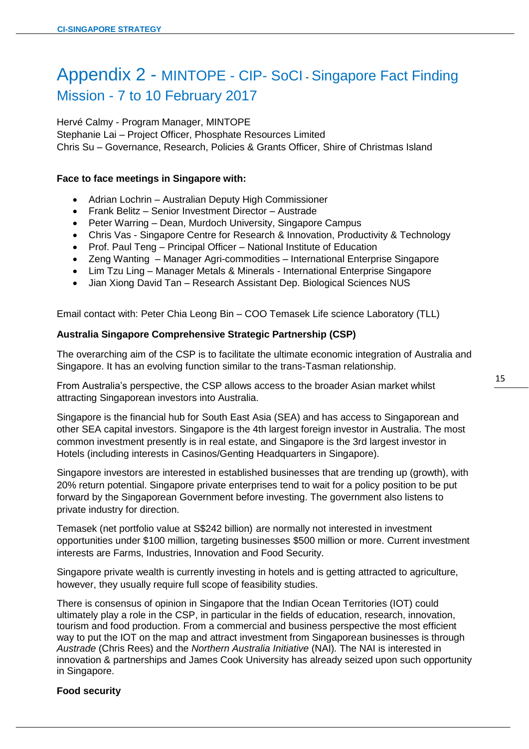# Appendix 2 - MINTOPE - CIP- SoCI - Singapore Fact Finding Mission - 7 to 10 February 2017

 $\overline{a}$ 

Hervé Calmy - Program Manager, MINTOPE Stephanie Lai – Project Officer, Phosphate Resources Limited Chris Su – Governance, Research, Policies & Grants Officer, Shire of Christmas Island

# **Face to face meetings in Singapore with:**

- Adrian Lochrin Australian Deputy High Commissioner
- Frank Belitz Senior Investment Director Austrade
- Peter Warring Dean, Murdoch University, Singapore Campus
- Chris Vas Singapore Centre for Research & Innovation, Productivity & Technology
- Prof. Paul Teng Principal Officer National Institute of Education
- Zeng Wanting Manager Agri-commodities International Enterprise Singapore
- Lim Tzu Ling Manager Metals & Minerals International Enterprise Singapore
- Jian Xiong David Tan Research Assistant Dep. Biological Sciences NUS

Email contact with: Peter Chia Leong Bin – COO Temasek Life science Laboratory (TLL)

# **Australia Singapore Comprehensive Strategic Partnership (CSP)**

The overarching aim of the CSP is to facilitate the ultimate economic integration of Australia and Singapore. It has an evolving function similar to the trans-Tasman relationship.

From Australia's perspective, the CSP allows access to the broader Asian market whilst attracting Singaporean investors into Australia.

Singapore is the financial hub for South East Asia (SEA) and has access to Singaporean and other SEA capital investors. Singapore is the 4th largest foreign investor in Australia. The most common investment presently is in real estate, and Singapore is the 3rd largest investor in Hotels (including interests in Casinos/Genting Headquarters in Singapore).

Singapore investors are interested in established businesses that are trending up (growth), with 20% return potential. Singapore private enterprises tend to wait for a policy position to be put forward by the Singaporean Government before investing. The government also listens to private industry for direction.

Temasek (net portfolio value at S\$242 billion) are normally not interested in investment opportunities under \$100 million, targeting businesses \$500 million or more. Current investment interests are Farms, Industries, Innovation and Food Security.

Singapore private wealth is currently investing in hotels and is getting attracted to agriculture, however, they usually require full scope of feasibility studies.

There is consensus of opinion in Singapore that the Indian Ocean Territories (IOT) could ultimately play a role in the CSP, in particular in the fields of education, research, innovation, tourism and food production. From a commercial and business perspective the most efficient way to put the IOT on the map and attract investment from Singaporean businesses is through *Austrade* (Chris Rees) and the *Northern Australia Initiative* (NAI)*.* The NAI is interested in innovation & partnerships and James Cook University has already seized upon such opportunity in Singapore.

# **Food security**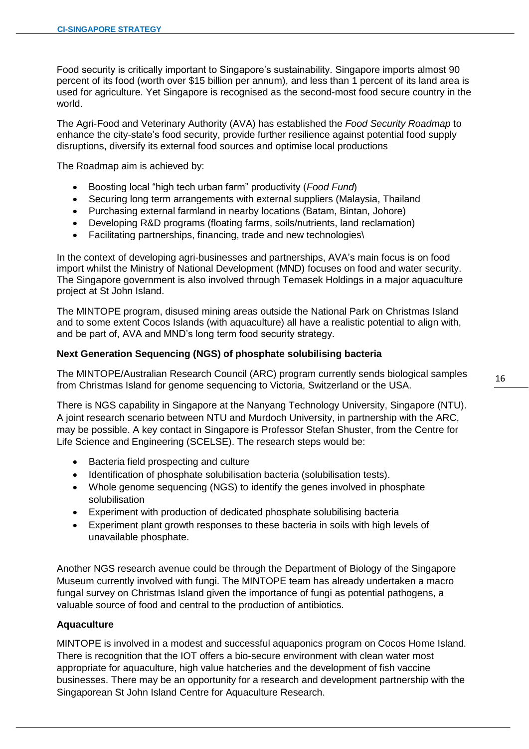Food security is critically important to Singapore's sustainability. Singapore imports almost 90 percent of its food (worth over \$15 billion per annum), and less than 1 percent of its land area is used for agriculture. Yet Singapore is recognised as the second-most food secure country in the world.

 $\overline{a}$ 

The Agri-Food and Veterinary Authority (AVA) has established the *Food Security Roadmap* to enhance the city-state's food security, provide further resilience against potential food supply disruptions, diversify its external food sources and optimise local productions

The Roadmap aim is achieved by:

- Boosting local "high tech urban farm" productivity (*Food Fund*)
- Securing long term arrangements with external suppliers (Malaysia, Thailand
- Purchasing external farmland in nearby locations (Batam, Bintan, Johore)
- Developing R&D programs (floating farms, soils/nutrients, land reclamation)
- Facilitating partnerships, financing, trade and new technologies\

In the context of developing agri-businesses and partnerships, AVA's main focus is on food import whilst the Ministry of National Development (MND) focuses on food and water security. The Singapore government is also involved through Temasek Holdings in a major aquaculture project at St John Island.

The MINTOPE program, disused mining areas outside the National Park on Christmas Island and to some extent Cocos Islands (with aquaculture) all have a realistic potential to align with, and be part of, AVA and MND's long term food security strategy.

#### **Next Generation Sequencing (NGS) of phosphate solubilising bacteria**

The MINTOPE/Australian Research Council (ARC) program currently sends biological samples from Christmas Island for genome sequencing to Victoria, Switzerland or the USA.

There is NGS capability in Singapore at the Nanyang Technology University, Singapore (NTU). A joint research scenario between NTU and Murdoch University, in partnership with the ARC, may be possible. A key contact in Singapore is Professor Stefan Shuster, from the Centre for Life Science and Engineering (SCELSE). The research steps would be:

- Bacteria field prospecting and culture
- Identification of phosphate solubilisation bacteria (solubilisation tests).
- Whole genome sequencing (NGS) to identify the genes involved in phosphate solubilisation
- Experiment with production of dedicated phosphate solubilising bacteria
- Experiment plant growth responses to these bacteria in soils with high levels of unavailable phosphate.

Another NGS research avenue could be through the Department of Biology of the Singapore Museum currently involved with fungi. The MINTOPE team has already undertaken a macro fungal survey on Christmas Island given the importance of fungi as potential pathogens, a valuable source of food and central to the production of antibiotics.

#### **Aquaculture**

MINTOPE is involved in a modest and successful aquaponics program on Cocos Home Island. There is recognition that the IOT offers a bio-secure environment with clean water most appropriate for aquaculture, high value hatcheries and the development of fish vaccine businesses. There may be an opportunity for a research and development partnership with the Singaporean St John Island Centre for Aquaculture Research.